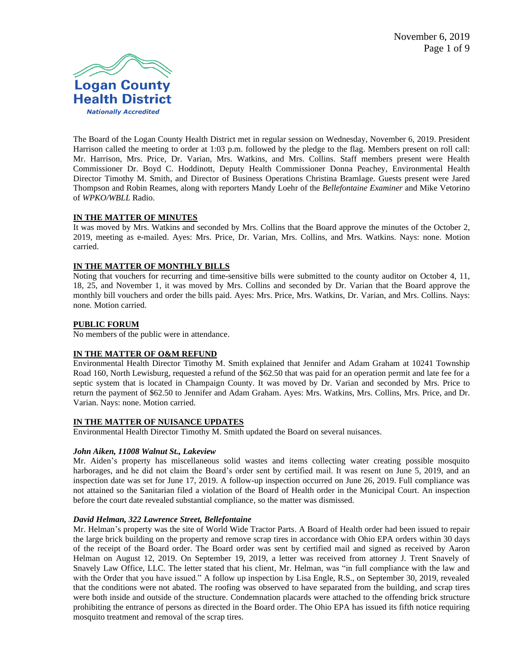

The Board of the Logan County Health District met in regular session on Wednesday, November 6, 2019. President Harrison called the meeting to order at 1:03 p.m. followed by the pledge to the flag. Members present on roll call: Mr. Harrison, Mrs. Price, Dr. Varian, Mrs. Watkins, and Mrs. Collins. Staff members present were Health Commissioner Dr. Boyd C. Hoddinott, Deputy Health Commissioner Donna Peachey, Environmental Health Director Timothy M. Smith, and Director of Business Operations Christina Bramlage. Guests present were Jared Thompson and Robin Reames, along with reporters Mandy Loehr of the *Bellefontaine Examiner* and Mike Vetorino of *WPKO/WBLL* Radio.

# **IN THE MATTER OF MINUTES**

It was moved by Mrs. Watkins and seconded by Mrs. Collins that the Board approve the minutes of the October 2, 2019, meeting as e-mailed. Ayes: Mrs. Price, Dr. Varian, Mrs. Collins, and Mrs. Watkins. Nays: none. Motion carried.

# **IN THE MATTER OF MONTHLY BILLS**

Noting that vouchers for recurring and time-sensitive bills were submitted to the county auditor on October 4, 11, 18, 25, and November 1, it was moved by Mrs. Collins and seconded by Dr. Varian that the Board approve the monthly bill vouchers and order the bills paid. Ayes: Mrs. Price, Mrs. Watkins, Dr. Varian, and Mrs. Collins. Nays: none. Motion carried.

#### **PUBLIC FORUM**

No members of the public were in attendance.

# **IN THE MATTER OF O&M REFUND**

Environmental Health Director Timothy M. Smith explained that Jennifer and Adam Graham at 10241 Township Road 160, North Lewisburg, requested a refund of the \$62.50 that was paid for an operation permit and late fee for a septic system that is located in Champaign County. It was moved by Dr. Varian and seconded by Mrs. Price to return the payment of \$62.50 to Jennifer and Adam Graham. Ayes: Mrs. Watkins, Mrs. Collins, Mrs. Price, and Dr. Varian. Nays: none. Motion carried.

#### **IN THE MATTER OF NUISANCE UPDATES**

Environmental Health Director Timothy M. Smith updated the Board on several nuisances.

#### *John Aiken, 11008 Walnut St., Lakeview*

Mr. Aiden's property has miscellaneous solid wastes and items collecting water creating possible mosquito harborages, and he did not claim the Board's order sent by certified mail. It was resent on June 5, 2019, and an inspection date was set for June 17, 2019. A follow-up inspection occurred on June 26, 2019. Full compliance was not attained so the Sanitarian filed a violation of the Board of Health order in the Municipal Court. An inspection before the court date revealed substantial compliance, so the matter was dismissed.

#### *David Helman, 322 Lawrence Street, Bellefontaine*

Mr. Helman's property was the site of World Wide Tractor Parts. A Board of Health order had been issued to repair the large brick building on the property and remove scrap tires in accordance with Ohio EPA orders within 30 days of the receipt of the Board order. The Board order was sent by certified mail and signed as received by Aaron Helman on August 12, 2019. On September 19, 2019, a letter was received from attorney J. Trent Snavely of Snavely Law Office, LLC. The letter stated that his client, Mr. Helman, was "in full compliance with the law and with the Order that you have issued." A follow up inspection by Lisa Engle, R.S., on September 30, 2019, revealed that the conditions were not abated. The roofing was observed to have separated from the building, and scrap tires were both inside and outside of the structure. Condemnation placards were attached to the offending brick structure prohibiting the entrance of persons as directed in the Board order. The Ohio EPA has issued its fifth notice requiring mosquito treatment and removal of the scrap tires.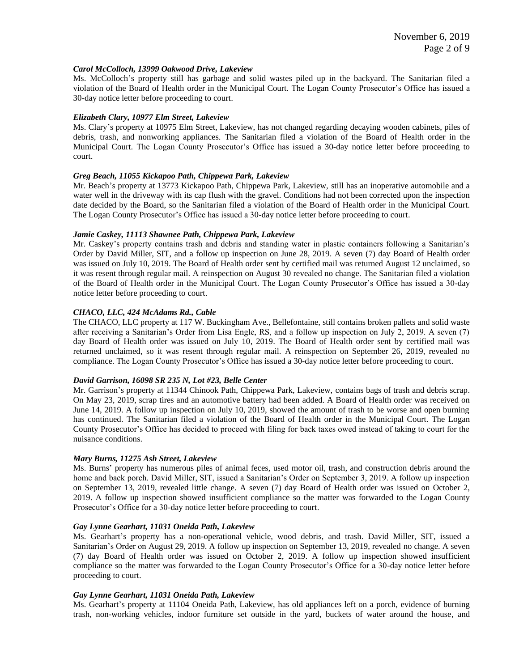#### *Carol McColloch, 13999 Oakwood Drive, Lakeview*

Ms. McColloch's property still has garbage and solid wastes piled up in the backyard. The Sanitarian filed a violation of the Board of Health order in the Municipal Court. The Logan County Prosecutor's Office has issued a 30-day notice letter before proceeding to court.

### *Elizabeth Clary, 10977 Elm Street, Lakeview*

Ms. Clary's property at 10975 Elm Street, Lakeview, has not changed regarding decaying wooden cabinets, piles of debris, trash, and nonworking appliances. The Sanitarian filed a violation of the Board of Health order in the Municipal Court. The Logan County Prosecutor's Office has issued a 30-day notice letter before proceeding to court.

#### *Greg Beach, 11055 Kickapoo Path, Chippewa Park, Lakeview*

Mr. Beach's property at 13773 Kickapoo Path, Chippewa Park, Lakeview, still has an inoperative automobile and a water well in the driveway with its cap flush with the gravel. Conditions had not been corrected upon the inspection date decided by the Board, so the Sanitarian filed a violation of the Board of Health order in the Municipal Court. The Logan County Prosecutor's Office has issued a 30-day notice letter before proceeding to court.

#### *Jamie Caskey, 11113 Shawnee Path, Chippewa Park, Lakeview*

Mr. Caskey's property contains trash and debris and standing water in plastic containers following a Sanitarian's Order by David Miller, SIT, and a follow up inspection on June 28, 2019. A seven (7) day Board of Health order was issued on July 10, 2019. The Board of Health order sent by certified mail was returned August 12 unclaimed, so it was resent through regular mail. A reinspection on August 30 revealed no change. The Sanitarian filed a violation of the Board of Health order in the Municipal Court. The Logan County Prosecutor's Office has issued a 30-day notice letter before proceeding to court.

## *CHACO, LLC, 424 McAdams Rd., Cable*

The CHACO, LLC property at 117 W. Buckingham Ave., Bellefontaine, still contains broken pallets and solid waste after receiving a Sanitarian's Order from Lisa Engle, RS, and a follow up inspection on July 2, 2019. A seven (7) day Board of Health order was issued on July 10, 2019. The Board of Health order sent by certified mail was returned unclaimed, so it was resent through regular mail. A reinspection on September 26, 2019, revealed no compliance. The Logan County Prosecutor's Office has issued a 30-day notice letter before proceeding to court.

#### *David Garrison, 16098 SR 235 N, Lot #23, Belle Center*

Mr. Garrison's property at 11344 Chinook Path, Chippewa Park, Lakeview, contains bags of trash and debris scrap. On May 23, 2019, scrap tires and an automotive battery had been added. A Board of Health order was received on June 14, 2019. A follow up inspection on July 10, 2019, showed the amount of trash to be worse and open burning has continued. The Sanitarian filed a violation of the Board of Health order in the Municipal Court. The Logan County Prosecutor's Office has decided to proceed with filing for back taxes owed instead of taking to court for the nuisance conditions.

#### *Mary Burns, 11275 Ash Street, Lakeview*

Ms. Burns' property has numerous piles of animal feces, used motor oil, trash, and construction debris around the home and back porch. David Miller, SIT, issued a Sanitarian's Order on September 3, 2019. A follow up inspection on September 13, 2019, revealed little change. A seven (7) day Board of Health order was issued on October 2, 2019. A follow up inspection showed insufficient compliance so the matter was forwarded to the Logan County Prosecutor's Office for a 30-day notice letter before proceeding to court.

#### *Gay Lynne Gearhart, 11031 Oneida Path, Lakeview*

Ms. Gearhart's property has a non-operational vehicle, wood debris, and trash. David Miller, SIT, issued a Sanitarian's Order on August 29, 2019. A follow up inspection on September 13, 2019, revealed no change. A seven (7) day Board of Health order was issued on October 2, 2019. A follow up inspection showed insufficient compliance so the matter was forwarded to the Logan County Prosecutor's Office for a 30-day notice letter before proceeding to court.

#### *Gay Lynne Gearhart, 11031 Oneida Path, Lakeview*

Ms. Gearhart's property at 11104 Oneida Path, Lakeview, has old appliances left on a porch, evidence of burning trash, non-working vehicles, indoor furniture set outside in the yard, buckets of water around the house, and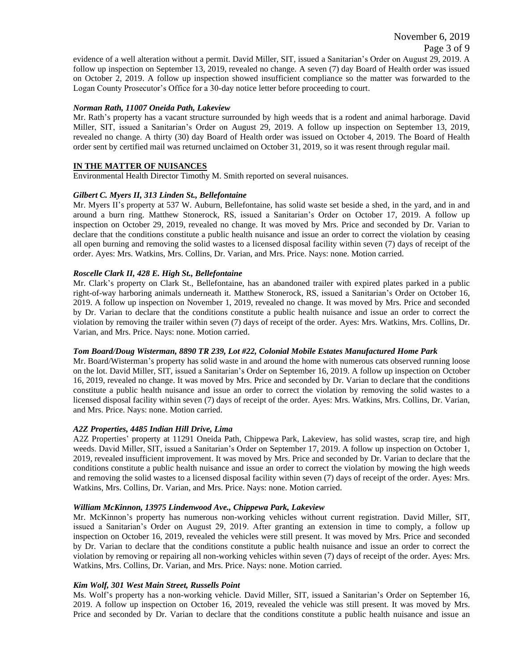evidence of a well alteration without a permit. David Miller, SIT, issued a Sanitarian's Order on August 29, 2019. A follow up inspection on September 13, 2019, revealed no change. A seven (7) day Board of Health order was issued on October 2, 2019. A follow up inspection showed insufficient compliance so the matter was forwarded to the Logan County Prosecutor's Office for a 30-day notice letter before proceeding to court.

## *Norman Rath, 11007 Oneida Path, Lakeview*

Mr. Rath's property has a vacant structure surrounded by high weeds that is a rodent and animal harborage. David Miller, SIT, issued a Sanitarian's Order on August 29, 2019. A follow up inspection on September 13, 2019, revealed no change. A thirty (30) day Board of Health order was issued on October 4, 2019. The Board of Health order sent by certified mail was returned unclaimed on October 31, 2019, so it was resent through regular mail.

### **IN THE MATTER OF NUISANCES**

Environmental Health Director Timothy M. Smith reported on several nuisances.

## *Gilbert C. Myers II, 313 Linden St., Bellefontaine*

Mr. Myers II's property at 537 W. Auburn, Bellefontaine, has solid waste set beside a shed, in the yard, and in and around a burn ring. Matthew Stonerock, RS, issued a Sanitarian's Order on October 17, 2019. A follow up inspection on October 29, 2019, revealed no change. It was moved by Mrs. Price and seconded by Dr. Varian to declare that the conditions constitute a public health nuisance and issue an order to correct the violation by ceasing all open burning and removing the solid wastes to a licensed disposal facility within seven (7) days of receipt of the order. Ayes: Mrs. Watkins, Mrs. Collins, Dr. Varian, and Mrs. Price. Nays: none. Motion carried.

## *Roscelle Clark II, 428 E. High St., Bellefontaine*

Mr. Clark's property on Clark St., Bellefontaine, has an abandoned trailer with expired plates parked in a public right-of-way harboring animals underneath it. Matthew Stonerock, RS, issued a Sanitarian's Order on October 16, 2019. A follow up inspection on November 1, 2019, revealed no change. It was moved by Mrs. Price and seconded by Dr. Varian to declare that the conditions constitute a public health nuisance and issue an order to correct the violation by removing the trailer within seven (7) days of receipt of the order. Ayes: Mrs. Watkins, Mrs. Collins, Dr. Varian, and Mrs. Price. Nays: none. Motion carried.

# *Tom Board/Doug Wisterman, 8890 TR 239, Lot #22, Colonial Mobile Estates Manufactured Home Park*

Mr. Board/Wisterman's property has solid waste in and around the home with numerous cats observed running loose on the lot. David Miller, SIT, issued a Sanitarian's Order on September 16, 2019. A follow up inspection on October 16, 2019, revealed no change. It was moved by Mrs. Price and seconded by Dr. Varian to declare that the conditions constitute a public health nuisance and issue an order to correct the violation by removing the solid wastes to a licensed disposal facility within seven (7) days of receipt of the order. Ayes: Mrs. Watkins, Mrs. Collins, Dr. Varian, and Mrs. Price. Nays: none. Motion carried.

#### *A2Z Properties, 4485 Indian Hill Drive, Lima*

A2Z Properties' property at 11291 Oneida Path, Chippewa Park, Lakeview, has solid wastes, scrap tire, and high weeds. David Miller, SIT, issued a Sanitarian's Order on September 17, 2019. A follow up inspection on October 1, 2019, revealed insufficient improvement. It was moved by Mrs. Price and seconded by Dr. Varian to declare that the conditions constitute a public health nuisance and issue an order to correct the violation by mowing the high weeds and removing the solid wastes to a licensed disposal facility within seven (7) days of receipt of the order. Ayes: Mrs. Watkins, Mrs. Collins, Dr. Varian, and Mrs. Price. Nays: none. Motion carried.

#### *William McKinnon, 13975 Lindenwood Ave., Chippewa Park, Lakeview*

Mr. McKinnon's property has numerous non-working vehicles without current registration. David Miller, SIT, issued a Sanitarian's Order on August 29, 2019. After granting an extension in time to comply, a follow up inspection on October 16, 2019, revealed the vehicles were still present. It was moved by Mrs. Price and seconded by Dr. Varian to declare that the conditions constitute a public health nuisance and issue an order to correct the violation by removing or repairing all non-working vehicles within seven (7) days of receipt of the order. Ayes: Mrs. Watkins, Mrs. Collins, Dr. Varian, and Mrs. Price. Nays: none. Motion carried.

# *Kim Wolf, 301 West Main Street, Russells Point*

Ms. Wolf's property has a non-working vehicle. David Miller, SIT, issued a Sanitarian's Order on September 16, 2019. A follow up inspection on October 16, 2019, revealed the vehicle was still present. It was moved by Mrs. Price and seconded by Dr. Varian to declare that the conditions constitute a public health nuisance and issue an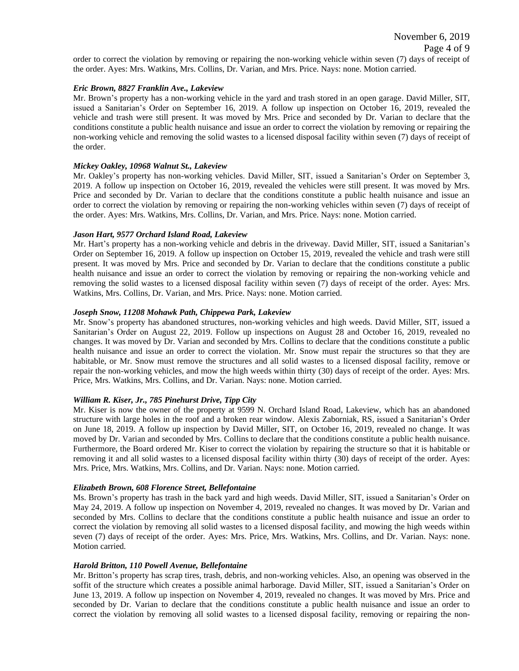order to correct the violation by removing or repairing the non-working vehicle within seven (7) days of receipt of the order. Ayes: Mrs. Watkins, Mrs. Collins, Dr. Varian, and Mrs. Price. Nays: none. Motion carried.

## *Eric Brown, 8827 Franklin Ave., Lakeview*

Mr. Brown's property has a non-working vehicle in the yard and trash stored in an open garage. David Miller, SIT, issued a Sanitarian's Order on September 16, 2019. A follow up inspection on October 16, 2019, revealed the vehicle and trash were still present. It was moved by Mrs. Price and seconded by Dr. Varian to declare that the conditions constitute a public health nuisance and issue an order to correct the violation by removing or repairing the non-working vehicle and removing the solid wastes to a licensed disposal facility within seven (7) days of receipt of the order.

## *Mickey Oakley, 10968 Walnut St., Lakeview*

Mr. Oakley's property has non-working vehicles. David Miller, SIT, issued a Sanitarian's Order on September 3, 2019. A follow up inspection on October 16, 2019, revealed the vehicles were still present. It was moved by Mrs. Price and seconded by Dr. Varian to declare that the conditions constitute a public health nuisance and issue an order to correct the violation by removing or repairing the non-working vehicles within seven (7) days of receipt of the order. Ayes: Mrs. Watkins, Mrs. Collins, Dr. Varian, and Mrs. Price. Nays: none. Motion carried.

## *Jason Hart, 9577 Orchard Island Road, Lakeview*

Mr. Hart's property has a non-working vehicle and debris in the driveway. David Miller, SIT, issued a Sanitarian's Order on September 16, 2019. A follow up inspection on October 15, 2019, revealed the vehicle and trash were still present. It was moved by Mrs. Price and seconded by Dr. Varian to declare that the conditions constitute a public health nuisance and issue an order to correct the violation by removing or repairing the non-working vehicle and removing the solid wastes to a licensed disposal facility within seven (7) days of receipt of the order. Ayes: Mrs. Watkins, Mrs. Collins, Dr. Varian, and Mrs. Price. Nays: none. Motion carried.

# *Joseph Snow, 11208 Mohawk Path, Chippewa Park, Lakeview*

Mr. Snow's property has abandoned structures, non-working vehicles and high weeds. David Miller, SIT, issued a Sanitarian's Order on August 22, 2019. Follow up inspections on August 28 and October 16, 2019, revealed no changes. It was moved by Dr. Varian and seconded by Mrs. Collins to declare that the conditions constitute a public health nuisance and issue an order to correct the violation. Mr. Snow must repair the structures so that they are habitable, or Mr. Snow must remove the structures and all solid wastes to a licensed disposal facility, remove or repair the non-working vehicles, and mow the high weeds within thirty (30) days of receipt of the order. Ayes: Mrs. Price, Mrs. Watkins, Mrs. Collins, and Dr. Varian. Nays: none. Motion carried.

# *William R. Kiser, Jr., 785 Pinehurst Drive, Tipp City*

Mr. Kiser is now the owner of the property at 9599 N. Orchard Island Road, Lakeview, which has an abandoned structure with large holes in the roof and a broken rear window. Alexis Zaborniak, RS, issued a Sanitarian's Order on June 18, 2019. A follow up inspection by David Miller, SIT, on October 16, 2019, revealed no change. It was moved by Dr. Varian and seconded by Mrs. Collins to declare that the conditions constitute a public health nuisance. Furthermore, the Board ordered Mr. Kiser to correct the violation by repairing the structure so that it is habitable or removing it and all solid wastes to a licensed disposal facility within thirty (30) days of receipt of the order. Ayes: Mrs. Price, Mrs. Watkins, Mrs. Collins, and Dr. Varian. Nays: none. Motion carried.

#### *Elizabeth Brown, 608 Florence Street, Bellefontaine*

Ms. Brown's property has trash in the back yard and high weeds. David Miller, SIT, issued a Sanitarian's Order on May 24, 2019. A follow up inspection on November 4, 2019, revealed no changes. It was moved by Dr. Varian and seconded by Mrs. Collins to declare that the conditions constitute a public health nuisance and issue an order to correct the violation by removing all solid wastes to a licensed disposal facility, and mowing the high weeds within seven (7) days of receipt of the order. Ayes: Mrs. Price, Mrs. Watkins, Mrs. Collins, and Dr. Varian. Nays: none. Motion carried.

#### *Harold Britton, 110 Powell Avenue, Bellefontaine*

Mr. Britton's property has scrap tires, trash, debris, and non-working vehicles. Also, an opening was observed in the soffit of the structure which creates a possible animal harborage. David Miller, SIT, issued a Sanitarian's Order on June 13, 2019. A follow up inspection on November 4, 2019, revealed no changes. It was moved by Mrs. Price and seconded by Dr. Varian to declare that the conditions constitute a public health nuisance and issue an order to correct the violation by removing all solid wastes to a licensed disposal facility, removing or repairing the non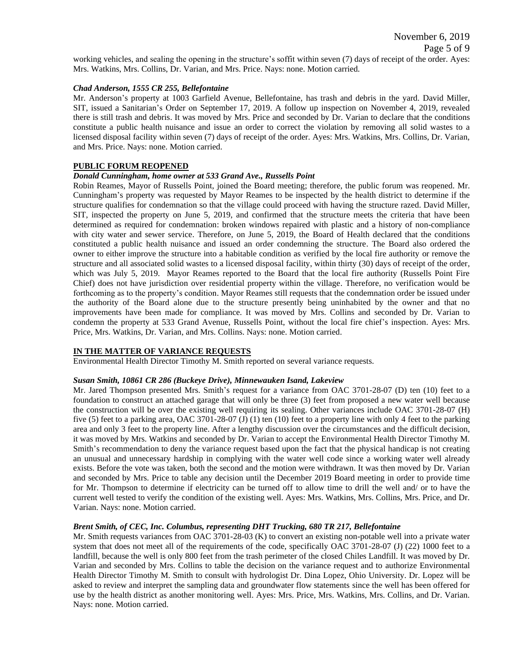working vehicles, and sealing the opening in the structure's soffit within seven (7) days of receipt of the order. Ayes: Mrs. Watkins, Mrs. Collins, Dr. Varian, and Mrs. Price. Nays: none. Motion carried.

### *Chad Anderson, 1555 CR 255, Bellefontaine*

Mr. Anderson's property at 1003 Garfield Avenue, Bellefontaine, has trash and debris in the yard. David Miller, SIT, issued a Sanitarian's Order on September 17, 2019. A follow up inspection on November 4, 2019, revealed there is still trash and debris. It was moved by Mrs. Price and seconded by Dr. Varian to declare that the conditions constitute a public health nuisance and issue an order to correct the violation by removing all solid wastes to a licensed disposal facility within seven (7) days of receipt of the order. Ayes: Mrs. Watkins, Mrs. Collins, Dr. Varian, and Mrs. Price. Nays: none. Motion carried.

#### **PUBLIC FORUM REOPENED**

# *Donald Cunningham, home owner at 533 Grand Ave., Russells Point*

Robin Reames, Mayor of Russells Point, joined the Board meeting; therefore, the public forum was reopened. Mr. Cunningham's property was requested by Mayor Reames to be inspected by the health district to determine if the structure qualifies for condemnation so that the village could proceed with having the structure razed. David Miller, SIT, inspected the property on June 5, 2019, and confirmed that the structure meets the criteria that have been determined as required for condemnation: broken windows repaired with plastic and a history of non-compliance with city water and sewer service. Therefore, on June 5, 2019, the Board of Health declared that the conditions constituted a public health nuisance and issued an order condemning the structure. The Board also ordered the owner to either improve the structure into a habitable condition as verified by the local fire authority or remove the structure and all associated solid wastes to a licensed disposal facility, within thirty (30) days of receipt of the order, which was July 5, 2019. Mayor Reames reported to the Board that the local fire authority (Russells Point Fire Chief) does not have jurisdiction over residential property within the village. Therefore, no verification would be forthcoming as to the property's condition. Mayor Reames still requests that the condemnation order be issued under the authority of the Board alone due to the structure presently being uninhabited by the owner and that no improvements have been made for compliance. It was moved by Mrs. Collins and seconded by Dr. Varian to condemn the property at 533 Grand Avenue, Russells Point, without the local fire chief's inspection. Ayes: Mrs. Price, Mrs. Watkins, Dr. Varian, and Mrs. Collins. Nays: none. Motion carried.

# **IN THE MATTER OF VARIANCE REQUESTS**

Environmental Health Director Timothy M. Smith reported on several variance requests.

#### *Susan Smith, 10861 CR 286 (Buckeye Drive), Minnewauken Isand, Lakeview*

Mr. Jared Thompson presented Mrs. Smith's request for a variance from OAC 3701-28-07 (D) ten (10) feet to a foundation to construct an attached garage that will only be three (3) feet from proposed a new water well because the construction will be over the existing well requiring its sealing. Other variances include OAC 3701-28-07 (H) five (5) feet to a parking area, OAC 3701-28-07 (J) (1) ten (10) feet to a property line with only 4 feet to the parking area and only 3 feet to the property line. After a lengthy discussion over the circumstances and the difficult decision, it was moved by Mrs. Watkins and seconded by Dr. Varian to accept the Environmental Health Director Timothy M. Smith's recommendation to deny the variance request based upon the fact that the physical handicap is not creating an unusual and unnecessary hardship in complying with the water well code since a working water well already exists. Before the vote was taken, both the second and the motion were withdrawn. It was then moved by Dr. Varian and seconded by Mrs. Price to table any decision until the December 2019 Board meeting in order to provide time for Mr. Thompson to determine if electricity can be turned off to allow time to drill the well and/ or to have the current well tested to verify the condition of the existing well. Ayes: Mrs. Watkins, Mrs. Collins, Mrs. Price, and Dr. Varian. Nays: none. Motion carried.

# *Brent Smith, of CEC, Inc. Columbus, representing DHT Trucking, 680 TR 217, Bellefontaine*

Mr. Smith requests variances from OAC 3701-28-03 (K) to convert an existing non-potable well into a private water system that does not meet all of the requirements of the code, specifically OAC 3701-28-07 (J) (22) 1000 feet to a landfill, because the well is only 800 feet from the trash perimeter of the closed Chiles Landfill. It was moved by Dr. Varian and seconded by Mrs. Collins to table the decision on the variance request and to authorize Environmental Health Director Timothy M. Smith to consult with hydrologist Dr. Dina Lopez, Ohio University. Dr. Lopez will be asked to review and interpret the sampling data and groundwater flow statements since the well has been offered for use by the health district as another monitoring well. Ayes: Mrs. Price, Mrs. Watkins, Mrs. Collins, and Dr. Varian. Nays: none. Motion carried.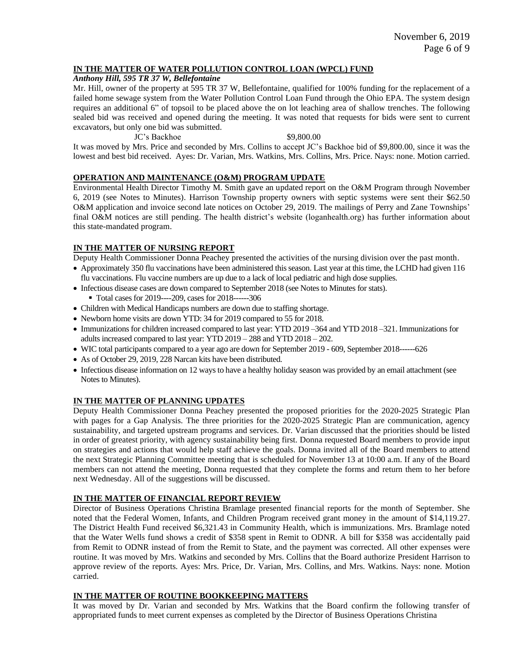## **IN THE MATTER OF WATER POLLUTION CONTROL LOAN (WPCL) FUND**

*Anthony Hill, 595 TR 37 W, Bellefontaine*

Mr. Hill, owner of the property at 595 TR 37 W, Bellefontaine, qualified for 100% funding for the replacement of a failed home sewage system from the Water Pollution Control Loan Fund through the Ohio EPA. The system design requires an additional 6" of topsoil to be placed above the on lot leaching area of shallow trenches. The following sealed bid was received and opened during the meeting. It was noted that requests for bids were sent to current excavators, but only one bid was submitted.

JC's Backhoe \$9,800.00

It was moved by Mrs. Price and seconded by Mrs. Collins to accept JC's Backhoe bid of \$9,800.00, since it was the lowest and best bid received. Ayes: Dr. Varian, Mrs. Watkins, Mrs. Collins, Mrs. Price. Nays: none. Motion carried.

# **OPERATION AND MAINTENANCE (O&M) PROGRAM UPDATE**

Environmental Health Director Timothy M. Smith gave an updated report on the O&M Program through November 6, 2019 (see Notes to Minutes). Harrison Township property owners with septic systems were sent their \$62.50 O&M application and invoice second late notices on October 29, 2019. The mailings of Perry and Zane Townships' final O&M notices are still pending. The health district's website (loganhealth.org) has further information about this state-mandated program.

## **IN THE MATTER OF NURSING REPORT**

Deputy Health Commissioner Donna Peachey presented the activities of the nursing division over the past month.

- Approximately 350 flu vaccinations have been administered this season. Last year at this time, the LCHD had given 116 flu vaccinations. Flu vaccine numbers are up due to a lack of local pediatric and high dose supplies.
- Infectious disease cases are down compared to September 2018 (see Notes to Minutes for stats).
	- Total cases for 2019----209, cases for 2018------306
- Children with Medical Handicaps numbers are down due to staffing shortage.
- Newborn home visits are down YTD: 34 for 2019 compared to 55 for 2018.
- Immunizations for children increased compared to last year: YTD 2019 –364 and YTD 2018 –321. Immunizations for adults increased compared to last year: YTD 2019 – 288 and YTD 2018 – 202.
- WIC total participants compared to a year ago are down for September 2019 609, September 2018------626
- As of October 29, 2019, 228 Narcan kits have been distributed.
- Infectious disease information on 12 ways to have a healthy holiday season was provided by an email attachment (see Notes to Minutes).

# **IN THE MATTER OF PLANNING UPDATES**

Deputy Health Commissioner Donna Peachey presented the proposed priorities for the 2020-2025 Strategic Plan with pages for a Gap Analysis. The three priorities for the 2020-2025 Strategic Plan are communication, agency sustainability, and targeted upstream programs and services. Dr. Varian discussed that the priorities should be listed in order of greatest priority, with agency sustainability being first. Donna requested Board members to provide input on strategies and actions that would help staff achieve the goals. Donna invited all of the Board members to attend the next Strategic Planning Committee meeting that is scheduled for November 13 at 10:00 a.m. If any of the Board members can not attend the meeting, Donna requested that they complete the forms and return them to her before next Wednesday. All of the suggestions will be discussed.

# **IN THE MATTER OF FINANCIAL REPORT REVIEW**

Director of Business Operations Christina Bramlage presented financial reports for the month of September. She noted that the Federal Women, Infants, and Children Program received grant money in the amount of \$14,119.27. The District Health Fund received \$6,321.43 in Community Health, which is immunizations. Mrs. Bramlage noted that the Water Wells fund shows a credit of \$358 spent in Remit to ODNR. A bill for \$358 was accidentally paid from Remit to ODNR instead of from the Remit to State, and the payment was corrected. All other expenses were routine. It was moved by Mrs. Watkins and seconded by Mrs. Collins that the Board authorize President Harrison to approve review of the reports. Ayes: Mrs. Price, Dr. Varian, Mrs. Collins, and Mrs. Watkins. Nays: none. Motion carried.

### **IN THE MATTER OF ROUTINE BOOKKEEPING MATTERS**

It was moved by Dr. Varian and seconded by Mrs. Watkins that the Board confirm the following transfer of appropriated funds to meet current expenses as completed by the Director of Business Operations Christina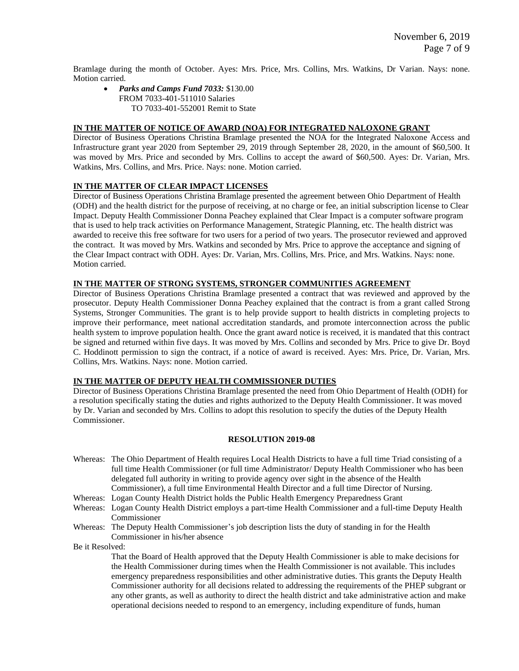Bramlage during the month of October. Ayes: Mrs. Price, Mrs. Collins, Mrs. Watkins, Dr Varian. Nays: none. Motion carried.

• *Parks and Camps Fund 7033:* \$130.00 FROM 7033-401-511010 Salaries TO 7033-401-552001 Remit to State

## **IN THE MATTER OF NOTICE OF AWARD (NOA) FOR INTEGRATED NALOXONE GRANT**

Director of Business Operations Christina Bramlage presented the NOA for the Integrated Naloxone Access and Infrastructure grant year 2020 from September 29, 2019 through September 28, 2020, in the amount of \$60,500. It was moved by Mrs. Price and seconded by Mrs. Collins to accept the award of \$60,500. Ayes: Dr. Varian, Mrs. Watkins, Mrs. Collins, and Mrs. Price. Nays: none. Motion carried.

## **IN THE MATTER OF CLEAR IMPACT LICENSES**

Director of Business Operations Christina Bramlage presented the agreement between Ohio Department of Health (ODH) and the health district for the purpose of receiving, at no charge or fee, an initial subscription license to Clear Impact. Deputy Health Commissioner Donna Peachey explained that Clear Impact is a computer software program that is used to help track activities on Performance Management, Strategic Planning, etc. The health district was awarded to receive this free software for two users for a period of two years. The prosecutor reviewed and approved the contract. It was moved by Mrs. Watkins and seconded by Mrs. Price to approve the acceptance and signing of the Clear Impact contract with ODH. Ayes: Dr. Varian, Mrs. Collins, Mrs. Price, and Mrs. Watkins. Nays: none. Motion carried.

## **IN THE MATTER OF STRONG SYSTEMS, STRONGER COMMUNITIES AGREEMENT**

Director of Business Operations Christina Bramlage presented a contract that was reviewed and approved by the prosecutor. Deputy Health Commissioner Donna Peachey explained that the contract is from a grant called Strong Systems, Stronger Communities. The grant is to help provide support to health districts in completing projects to improve their performance, meet national accreditation standards, and promote interconnection across the public health system to improve population health. Once the grant award notice is received, it is mandated that this contract be signed and returned within five days. It was moved by Mrs. Collins and seconded by Mrs. Price to give Dr. Boyd C. Hoddinott permission to sign the contract, if a notice of award is received. Ayes: Mrs. Price, Dr. Varian, Mrs. Collins, Mrs. Watkins. Nays: none. Motion carried.

## **IN THE MATTER OF DEPUTY HEALTH COMMISSIONER DUTIES**

Director of Business Operations Christina Bramlage presented the need from Ohio Department of Health (ODH) for a resolution specifically stating the duties and rights authorized to the Deputy Health Commissioner. It was moved by Dr. Varian and seconded by Mrs. Collins to adopt this resolution to specify the duties of the Deputy Health Commissioner.

#### **RESOLUTION 2019-08**

- Whereas: The Ohio Department of Health requires Local Health Districts to have a full time Triad consisting of a full time Health Commissioner (or full time Administrator/ Deputy Health Commissioner who has been delegated full authority in writing to provide agency over sight in the absence of the Health Commissioner), a full time Environmental Health Director and a full time Director of Nursing.
- Whereas: Logan County Health District holds the Public Health Emergency Preparedness Grant
- Whereas: Logan County Health District employs a part-time Health Commissioner and a full-time Deputy Health Commissioner
- Whereas: The Deputy Health Commissioner's job description lists the duty of standing in for the Health Commissioner in his/her absence

Be it Resolved:

That the Board of Health approved that the Deputy Health Commissioner is able to make decisions for the Health Commissioner during times when the Health Commissioner is not available. This includes emergency preparedness responsibilities and other administrative duties. This grants the Deputy Health Commissioner authority for all decisions related to addressing the requirements of the PHEP subgrant or any other grants, as well as authority to direct the health district and take administrative action and make operational decisions needed to respond to an emergency, including expenditure of funds, human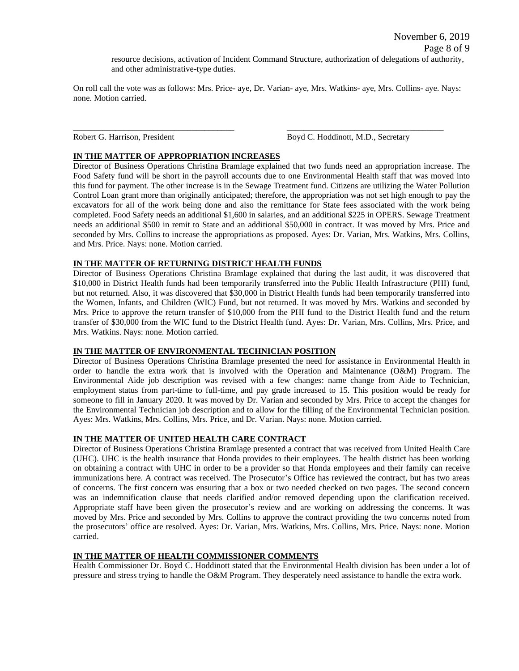November 6, 2019 Page 8 of 9

resource decisions, activation of Incident Command Structure, authorization of delegations of authority, and other administrative-type duties.

On roll call the vote was as follows: Mrs. Price- aye, Dr. Varian- aye, Mrs. Watkins- aye, Mrs. Collins- aye. Nays: none. Motion carried.

\_\_\_\_\_\_\_\_\_\_\_\_\_\_\_\_\_\_\_\_\_\_\_\_\_\_\_\_\_\_\_\_\_\_\_\_\_\_ \_\_\_\_\_\_\_\_\_\_\_\_\_\_\_\_\_\_\_\_\_\_\_\_\_\_\_\_\_\_\_\_\_\_\_\_\_

Robert G. Harrison, President Boyd C. Hoddinott, M.D., Secretary

# **IN THE MATTER OF APPROPRIATION INCREASES**

Director of Business Operations Christina Bramlage explained that two funds need an appropriation increase. The Food Safety fund will be short in the payroll accounts due to one Environmental Health staff that was moved into this fund for payment. The other increase is in the Sewage Treatment fund. Citizens are utilizing the Water Pollution Control Loan grant more than originally anticipated; therefore, the appropriation was not set high enough to pay the excavators for all of the work being done and also the remittance for State fees associated with the work being completed. Food Safety needs an additional \$1,600 in salaries, and an additional \$225 in OPERS. Sewage Treatment needs an additional \$500 in remit to State and an additional \$50,000 in contract. It was moved by Mrs. Price and seconded by Mrs. Collins to increase the appropriations as proposed. Ayes: Dr. Varian, Mrs. Watkins, Mrs. Collins, and Mrs. Price. Nays: none. Motion carried.

# **IN THE MATTER OF RETURNING DISTRICT HEALTH FUNDS**

Director of Business Operations Christina Bramlage explained that during the last audit, it was discovered that \$10,000 in District Health funds had been temporarily transferred into the Public Health Infrastructure (PHI) fund, but not returned. Also, it was discovered that \$30,000 in District Health funds had been temporarily transferred into the Women, Infants, and Children (WIC) Fund, but not returned. It was moved by Mrs. Watkins and seconded by Mrs. Price to approve the return transfer of \$10,000 from the PHI fund to the District Health fund and the return transfer of \$30,000 from the WIC fund to the District Health fund. Ayes: Dr. Varian, Mrs. Collins, Mrs. Price, and Mrs. Watkins. Nays: none. Motion carried.

# **IN THE MATTER OF ENVIRONMENTAL TECHNICIAN POSITION**

Director of Business Operations Christina Bramlage presented the need for assistance in Environmental Health in order to handle the extra work that is involved with the Operation and Maintenance (O&M) Program. The Environmental Aide job description was revised with a few changes: name change from Aide to Technician, employment status from part-time to full-time, and pay grade increased to 15. This position would be ready for someone to fill in January 2020. It was moved by Dr. Varian and seconded by Mrs. Price to accept the changes for the Environmental Technician job description and to allow for the filling of the Environmental Technician position. Ayes: Mrs. Watkins, Mrs. Collins, Mrs. Price, and Dr. Varian. Nays: none. Motion carried.

## **IN THE MATTER OF UNITED HEALTH CARE CONTRACT**

Director of Business Operations Christina Bramlage presented a contract that was received from United Health Care (UHC). UHC is the health insurance that Honda provides to their employees. The health district has been working on obtaining a contract with UHC in order to be a provider so that Honda employees and their family can receive immunizations here. A contract was received. The Prosecutor's Office has reviewed the contract, but has two areas of concerns. The first concern was ensuring that a box or two needed checked on two pages. The second concern was an indemnification clause that needs clarified and/or removed depending upon the clarification received. Appropriate staff have been given the prosecutor's review and are working on addressing the concerns. It was moved by Mrs. Price and seconded by Mrs. Collins to approve the contract providing the two concerns noted from the prosecutors' office are resolved. Ayes: Dr. Varian, Mrs. Watkins, Mrs. Collins, Mrs. Price. Nays: none. Motion carried.

# **IN THE MATTER OF HEALTH COMMISSIONER COMMENTS**

Health Commissioner Dr. Boyd C. Hoddinott stated that the Environmental Health division has been under a lot of pressure and stress trying to handle the O&M Program. They desperately need assistance to handle the extra work.